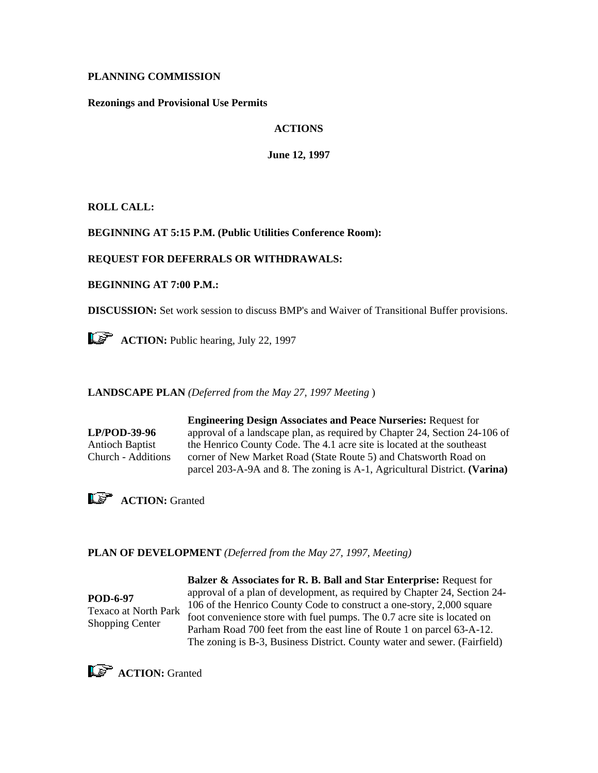### **PLANNING COMMISSION**

**Rezonings and Provisional Use Permits** 

## **ACTIONS**

**June 12, 1997** 

**ROLL CALL:**

#### **BEGINNING AT 5:15 P.M. (Public Utilities Conference Room):**

### **REQUEST FOR DEFERRALS OR WITHDRAWALS:**

**BEGINNING AT 7:00 P.M.:**

**DISCUSSION:** Set work session to discuss BMP's and Waiver of Transitional Buffer provisions.

**ACTION:** Public hearing, July 22, 1997

**LANDSCAPE PLAN** *(Deferred from the May 27, 1997 Meeting* )

**LP/POD-39-96** Antioch Baptist Church - Additions

**Engineering Design Associates and Peace Nurseries:** Request for approval of a landscape plan, as required by Chapter 24, Section 24-106 of the Henrico County Code. The 4.1 acre site is located at the southeast corner of New Market Road (State Route 5) and Chatsworth Road on parcel 203-A-9A and 8. The zoning is A-1, Agricultural District. **(Varina)**



### **PLAN OF DEVELOPMENT** *(Deferred from the May 27, 1997, Meeting)*

**POD-6-97** Texaco at North Park Shopping Center

**Balzer & Associates for R. B. Ball and Star Enterprise:** Request for approval of a plan of development, as required by Chapter 24, Section 24- 106 of the Henrico County Code to construct a one-story, 2,000 square foot convenience store with fuel pumps. The 0.7 acre site is located on Parham Road 700 feet from the east line of Route 1 on parcel 63-A-12. The zoning is B-3, Business District. County water and sewer. (Fairfield)

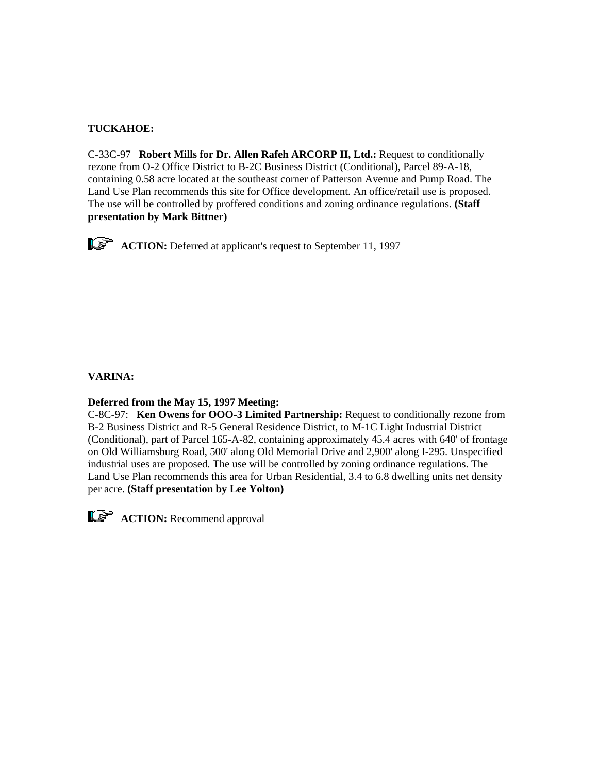# **TUCKAHOE:**

C-33C-97 **Robert Mills for Dr. Allen Rafeh ARCORP II, Ltd.:** Request to conditionally rezone from O-2 Office District to B-2C Business District (Conditional), Parcel 89-A-18, containing 0.58 acre located at the southeast corner of Patterson Avenue and Pump Road. The Land Use Plan recommends this site for Office development. An office/retail use is proposed. The use will be controlled by proffered conditions and zoning ordinance regulations. **(Staff presentation by Mark Bittner)**

**ACTION:** Deferred at applicant's request to September 11, 1997

### **VARINA:**

### **Deferred from the May 15, 1997 Meeting:**

C-8C-97: **Ken Owens for OOO-3 Limited Partnership:** Request to conditionally rezone from B-2 Business District and R-5 General Residence District, to M-1C Light Industrial District (Conditional), part of Parcel 165-A-82, containing approximately 45.4 acres with 640' of frontage on Old Williamsburg Road, 500' along Old Memorial Drive and 2,900' along I-295. Unspecified industrial uses are proposed. The use will be controlled by zoning ordinance regulations. The Land Use Plan recommends this area for Urban Residential, 3.4 to 6.8 dwelling units net density per acre. **(Staff presentation by Lee Yolton)**



**ACTION:** Recommend approval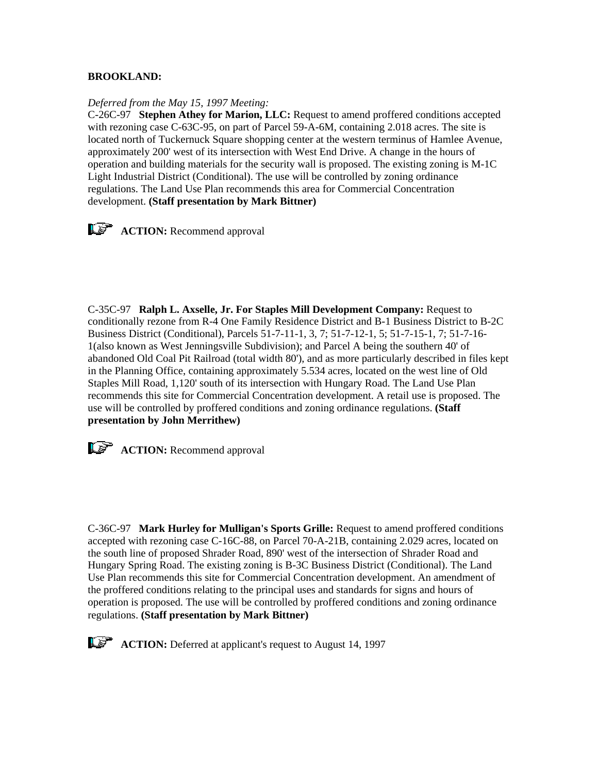### **BROOKLAND:**

#### *Deferred from the May 15, 1997 Meeting:*

C-26C-97 **Stephen Athey for Marion, LLC:** Request to amend proffered conditions accepted with rezoning case C-63C-95, on part of Parcel 59-A-6M, containing 2.018 acres. The site is located north of Tuckernuck Square shopping center at the western terminus of Hamlee Avenue, approximately 200' west of its intersection with West End Drive. A change in the hours of operation and building materials for the security wall is proposed. The existing zoning is M-1C Light Industrial District (Conditional). The use will be controlled by zoning ordinance regulations. The Land Use Plan recommends this area for Commercial Concentration development. **(Staff presentation by Mark Bittner)**



C-35C-97 **Ralph L. Axselle, Jr. For Staples Mill Development Company:** Request to conditionally rezone from R-4 One Family Residence District and B-1 Business District to B-2C Business District (Conditional), Parcels 51-7-11-1, 3, 7; 51-7-12-1, 5; 51-7-15-1, 7; 51-7-16- 1(also known as West Jenningsville Subdivision); and Parcel A being the southern 40' of abandoned Old Coal Pit Railroad (total width 80'), and as more particularly described in files kept in the Planning Office, containing approximately 5.534 acres, located on the west line of Old Staples Mill Road, 1,120' south of its intersection with Hungary Road. The Land Use Plan recommends this site for Commercial Concentration development. A retail use is proposed. The use will be controlled by proffered conditions and zoning ordinance regulations. **(Staff presentation by John Merrithew)**



**ACTION:** Recommend approval

C-36C-97 **Mark Hurley for Mulligan's Sports Grille:** Request to amend proffered conditions accepted with rezoning case C-16C-88, on Parcel 70-A-21B, containing 2.029 acres, located on the south line of proposed Shrader Road, 890' west of the intersection of Shrader Road and Hungary Spring Road. The existing zoning is B-3C Business District (Conditional). The Land Use Plan recommends this site for Commercial Concentration development. An amendment of the proffered conditions relating to the principal uses and standards for signs and hours of operation is proposed. The use will be controlled by proffered conditions and zoning ordinance regulations. **(Staff presentation by Mark Bittner)**



**ACTION:** Deferred at applicant's request to August 14, 1997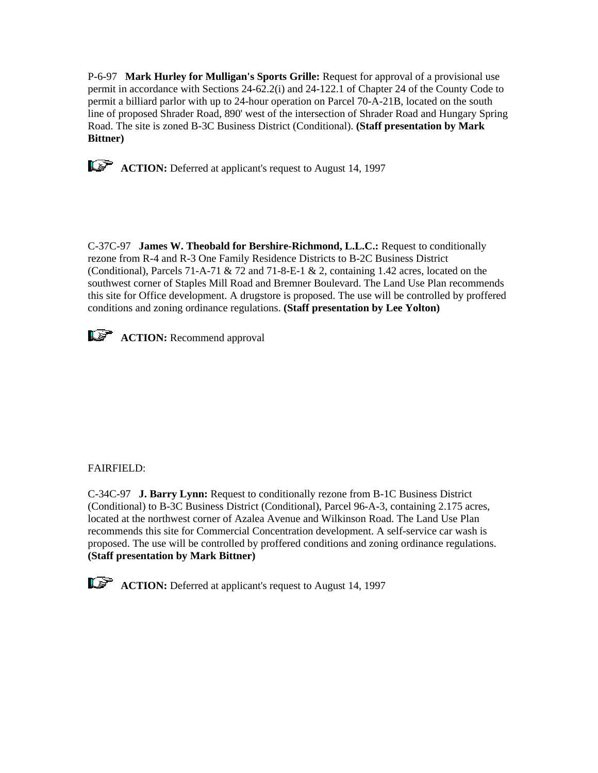P-6-97 **Mark Hurley for Mulligan's Sports Grille:** Request for approval of a provisional use permit in accordance with Sections 24-62.2(i) and 24-122.1 of Chapter 24 of the County Code to permit a billiard parlor with up to 24-hour operation on Parcel 70-A-21B, located on the south line of proposed Shrader Road, 890' west of the intersection of Shrader Road and Hungary Spring Road. The site is zoned B-3C Business District (Conditional). **(Staff presentation by Mark Bittner)**



C-37C-97 **James W. Theobald for Bershire-Richmond, L.L.C.:** Request to conditionally rezone from R-4 and R-3 One Family Residence Districts to B-2C Business District (Conditional), Parcels 71-A-71  $\&$  72 and 71-8-E-1  $\&$  2, containing 1.42 acres, located on the southwest corner of Staples Mill Road and Bremner Boulevard. The Land Use Plan recommends this site for Office development. A drugstore is proposed. The use will be controlled by proffered conditions and zoning ordinance regulations. **(Staff presentation by Lee Yolton)**



# FAIRFIELD:

C-34C-97 **J. Barry Lynn:** Request to conditionally rezone from B-1C Business District (Conditional) to B-3C Business District (Conditional), Parcel 96-A-3, containing 2.175 acres, located at the northwest corner of Azalea Avenue and Wilkinson Road. The Land Use Plan recommends this site for Commercial Concentration development. A self-service car wash is proposed. The use will be controlled by proffered conditions and zoning ordinance regulations. **(Staff presentation by Mark Bittner)**

**ACTION:** Deferred at applicant's request to August 14, 1997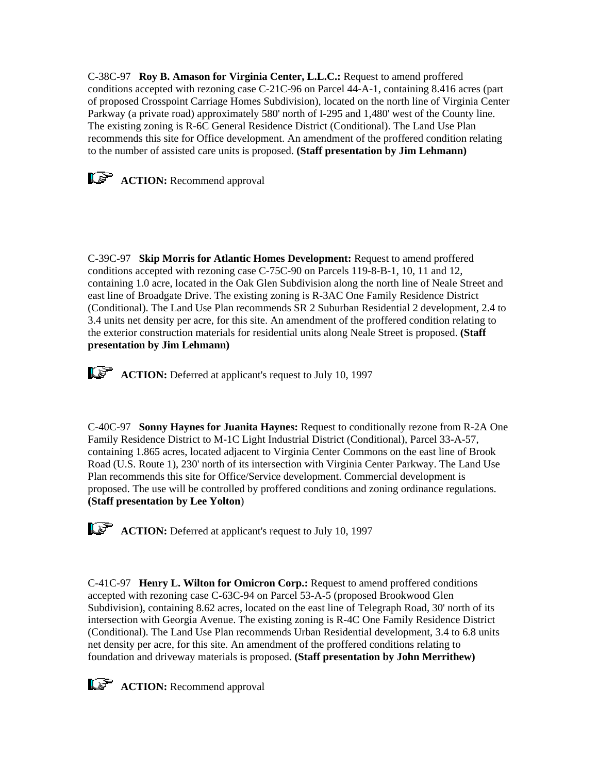C-38C-97 **Roy B. Amason for Virginia Center, L.L.C.:** Request to amend proffered conditions accepted with rezoning case C-21C-96 on Parcel 44-A-1, containing 8.416 acres (part of proposed Crosspoint Carriage Homes Subdivision), located on the north line of Virginia Center Parkway (a private road) approximately 580' north of I-295 and 1,480' west of the County line. The existing zoning is R-6C General Residence District (Conditional). The Land Use Plan recommends this site for Office development. An amendment of the proffered condition relating to the number of assisted care units is proposed. **(Staff presentation by Jim Lehmann)**



**ACTION:** Recommend approval

C-39C-97 **Skip Morris for Atlantic Homes Development:** Request to amend proffered conditions accepted with rezoning case C-75C-90 on Parcels 119-8-B-1, 10, 11 and 12, containing 1.0 acre, located in the Oak Glen Subdivision along the north line of Neale Street and east line of Broadgate Drive. The existing zoning is R-3AC One Family Residence District (Conditional). The Land Use Plan recommends SR 2 Suburban Residential 2 development, 2.4 to 3.4 units net density per acre, for this site. An amendment of the proffered condition relating to the exterior construction materials for residential units along Neale Street is proposed. **(Staff presentation by Jim Lehmann)**

**ACTION:** Deferred at applicant's request to July 10, 1997

C-40C-97 **Sonny Haynes for Juanita Haynes:** Request to conditionally rezone from R-2A One Family Residence District to M-1C Light Industrial District (Conditional), Parcel 33-A-57, containing 1.865 acres, located adjacent to Virginia Center Commons on the east line of Brook Road (U.S. Route 1), 230' north of its intersection with Virginia Center Parkway. The Land Use Plan recommends this site for Office/Service development. Commercial development is proposed. The use will be controlled by proffered conditions and zoning ordinance regulations. **(Staff presentation by Lee Yolton**)

**ACTION:** Deferred at applicant's request to July 10, 1997

C-41C-97 **Henry L. Wilton for Omicron Corp.:** Request to amend proffered conditions accepted with rezoning case C-63C-94 on Parcel 53-A-5 (proposed Brookwood Glen Subdivision), containing 8.62 acres, located on the east line of Telegraph Road, 30' north of its intersection with Georgia Avenue. The existing zoning is R-4C One Family Residence District (Conditional). The Land Use Plan recommends Urban Residential development, 3.4 to 6.8 units net density per acre, for this site. An amendment of the proffered conditions relating to foundation and driveway materials is proposed. **(Staff presentation by John Merrithew)**

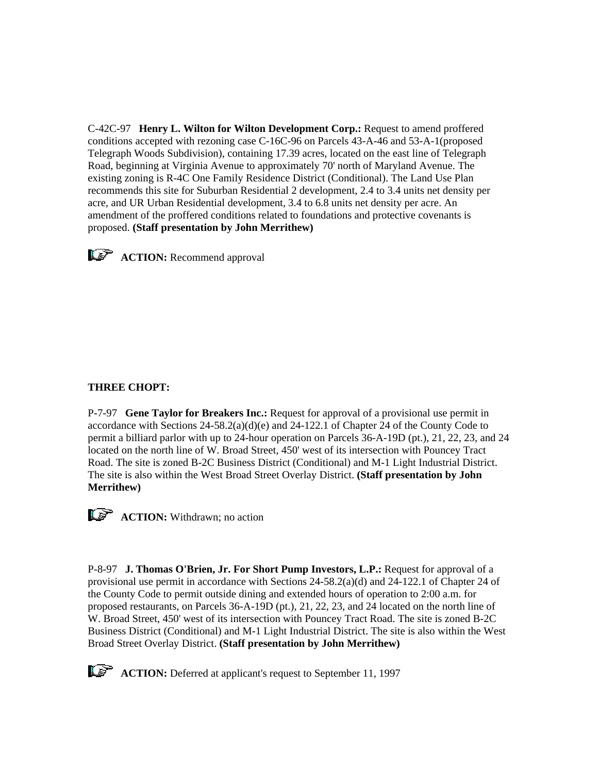C-42C-97 **Henry L. Wilton for Wilton Development Corp.:** Request to amend proffered conditions accepted with rezoning case C-16C-96 on Parcels 43-A-46 and 53-A-1(proposed Telegraph Woods Subdivision), containing 17.39 acres, located on the east line of Telegraph Road, beginning at Virginia Avenue to approximately 70' north of Maryland Avenue. The existing zoning is R-4C One Family Residence District (Conditional). The Land Use Plan recommends this site for Suburban Residential 2 development, 2.4 to 3.4 units net density per acre, and UR Urban Residential development, 3.4 to 6.8 units net density per acre. An amendment of the proffered conditions related to foundations and protective covenants is proposed. **(Staff presentation by John Merrithew)**



**ACTION:** Recommend approval

# **THREE CHOPT:**

P-7-97 **Gene Taylor for Breakers Inc.:** Request for approval of a provisional use permit in accordance with Sections  $24-58.2(a)(d)(e)$  and  $24-122.1$  of Chapter 24 of the County Code to permit a billiard parlor with up to 24-hour operation on Parcels 36-A-19D (pt.), 21, 22, 23, and 24 located on the north line of W. Broad Street, 450' west of its intersection with Pouncey Tract Road. The site is zoned B-2C Business District (Conditional) and M-1 Light Industrial District. The site is also within the West Broad Street Overlay District. **(Staff presentation by John Merrithew)**



**ACTION:** Withdrawn; no action

P-8-97 **J. Thomas O'Brien, Jr. For Short Pump Investors, L.P.:** Request for approval of a provisional use permit in accordance with Sections 24-58.2(a)(d) and 24-122.1 of Chapter 24 of the County Code to permit outside dining and extended hours of operation to 2:00 a.m. for proposed restaurants, on Parcels 36-A-19D (pt.), 21, 22, 23, and 24 located on the north line of W. Broad Street, 450' west of its intersection with Pouncey Tract Road. The site is zoned B-2C Business District (Conditional) and M-1 Light Industrial District. The site is also within the West Broad Street Overlay District. **(Staff presentation by John Merrithew)**

**ACTION:** Deferred at applicant's request to September 11, 1997